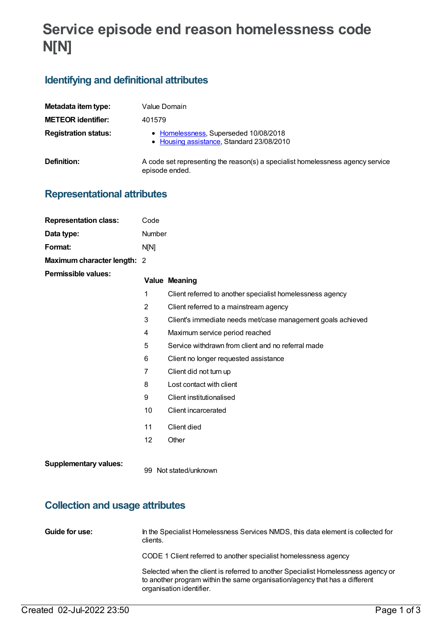# **Service episode end reason homelessness code N[N]**

### **Identifying and definitional attributes**

| Metadata item type:         | Value Domain                                                                                     |
|-----------------------------|--------------------------------------------------------------------------------------------------|
| <b>METEOR identifier:</b>   | 401579                                                                                           |
| <b>Registration status:</b> | • Homelessness, Superseded 10/08/2018<br>• Housing assistance, Standard 23/08/2010               |
| Definition:                 | A code set representing the reason(s) a specialist homelessness agency service<br>episode ended. |

### **Representational attributes**

| <b>Representation class:</b> | Code           |                                                             |  |
|------------------------------|----------------|-------------------------------------------------------------|--|
| Data type:                   | Number         |                                                             |  |
| Format:                      | N[N]           |                                                             |  |
| Maximum character length: 2  |                |                                                             |  |
| <b>Permissible values:</b>   |                | <b>Value Meaning</b>                                        |  |
|                              | 1              | Client referred to another specialist homelessness agency   |  |
|                              | 2              | Client referred to a mainstream agency                      |  |
|                              | 3              | Client's immediate needs met/case management goals achieved |  |
|                              | 4              | Maximum service period reached                              |  |
|                              | 5              | Service withdrawn from client and no referral made          |  |
|                              | 6              | Client no longer requested assistance                       |  |
|                              | $\overline{7}$ | Client did not turn up                                      |  |
|                              | 8              | Lost contact with client                                    |  |
|                              | 9              | Client institutionalised                                    |  |
|                              | 10             | Client incarcerated                                         |  |
|                              | 11             | Client died                                                 |  |
|                              | 12             | Other                                                       |  |
| <b>Supplementary values:</b> |                | 99 Not stated/unknown                                       |  |

## **Collection and usage attributes**

| Guide for use: | In the Specialist Homelessness Services NMDS, this data element is collected for<br>clients.                                                                                                 |
|----------------|----------------------------------------------------------------------------------------------------------------------------------------------------------------------------------------------|
|                | CODE 1 Client referred to another specialist homelessness agency                                                                                                                             |
|                | Selected when the client is referred to another Specialist Homelessness agency or<br>to another program within the same organisation/agency that has a different<br>organisation identifier. |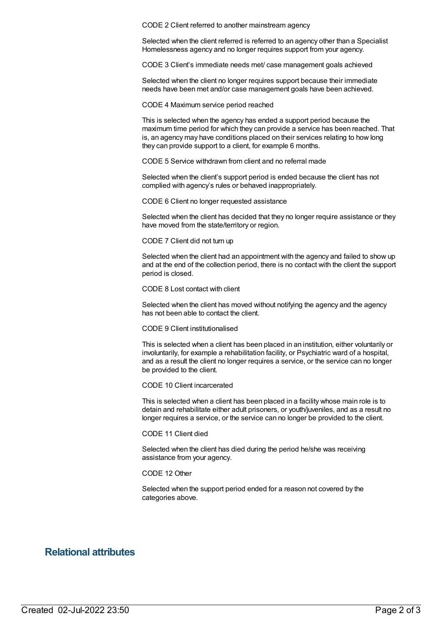CODE 2 Client referred to another mainstream agency

Selected when the client referred is referred to an agency other than a Specialist Homelessness agency and no longer requires support from your agency.

CODE 3 Client's immediate needs met/ case management goals achieved

Selected when the client no longer requires support because their immediate needs have been met and/or case management goals have been achieved.

CODE 4 Maximum service period reached

This is selected when the agency has ended a support period because the maximum time period for which they can provide a service has been reached. That is, an agency may have conditions placed on their services relating to how long they can provide support to a client, for example 6 months.

CODE 5 Service withdrawn from client and no referral made

Selected when the client's support period is ended because the client has not complied with agency's rules or behaved inappropriately.

CODE 6 Client no longer requested assistance

Selected when the client has decided that they no longer require assistance or they have moved from the state/territory or region.

CODE 7 Client did not turn up

Selected when the client had an appointment with the agency and failed to show up and at the end of the collection period, there is no contact with the client the support period is closed.

CODE 8 Lost contact with client

Selected when the client has moved without notifying the agency and the agency has not been able to contact the client.

CODE 9 Client institutionalised

This is selected when a client has been placed in an institution, either voluntarily or involuntarily, for example a rehabilitation facility, or Psychiatric ward of a hospital, and as a result the client no longer requires a service, or the service can no longer be provided to the client.

CODE 10 Client incarcerated

This is selected when a client has been placed in a facility whose main role is to detain and rehabilitate either adult prisoners, or youth/juveniles, and as a result no longer requires a service, or the service can no longer be provided to the client.

CODE 11 Client died

Selected when the client has died during the period he/she was receiving assistance from your agency.

#### CODE 12 Other

Selected when the support period ended for a reason not covered by the categories above.

#### **Relational attributes**